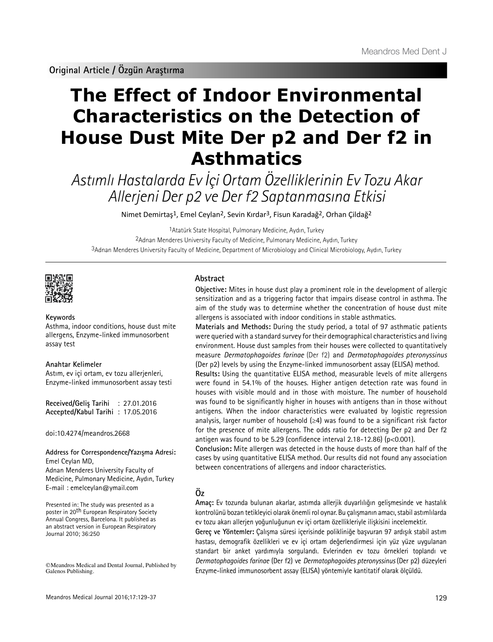**Original Article / Özgün Araştırma**

# **The Effect of Indoor Environmental Characteristics on the Detection of House Dust Mite Der p2 and Der f2 in Asthmatics**

Astımlı Hastalarda Ev İçi Ortam Özelliklerinin Ev Tozu Akar Allerjeni Der p2 ve Der f2 Saptanmasına Etkisi

Nimet Demirtaş<sup>1</sup>, Emel Ceylan<sup>2</sup>, Sevin Kırdar<sup>3</sup>, Fisun Karadağ<sup>2</sup>, Orhan Çildağ<sup>2</sup>

1Atatürk State Hospital, Pulmonary Medicine, Aydın, Turkey 2Adnan Menderes University Faculty of Medicine, Pulmonary Medicine, Aydın, Turkey 3Adnan Menderes University Faculty of Medicine, Department of Microbiology and Clinical Microbiology, Aydın, Turkey



**Keywords**

Asthma, indoor conditions, house dust mite allergens, Enzyme-linked immunosorbent assay test

# **Anahtar Kelimeler**

Astım, ev içi ortam, ev tozu allerjenleri, Enzyme-linked immunosorbent assay testi

**Received/Geliş Tarihi** : 27.01.2016 **Accepted/Kabul Tarihi** : 17.05.2016

doi:10.4274/meandros.2668

#### **Address for Correspondence/Yazışma Adresi:** Emel Ceylan MD,

Adnan Menderes University Faculty of Medicine, Pulmonary Medicine, Aydın, Turkey E-mail : emelceylan@ymail.com

Presented in: The study was presented as a poster in 20<sup>th</sup> European Respiratory Society Annual Congress, Barcelona. It published as an abstract version in European Respiratory Journal 2010; 36:250

©Meandros Medical and Dental Journal, Published by Galenos Publishing.

## **Abstract**

**Objective:** Mites in house dust play a prominent role in the development of allergic sensitization and as a triggering factor that impairs disease control in asthma. The aim of the study was to determine whether the concentration of house dust mite allergens is associated with indoor conditions in stable asthmatics.

**Materials and Methods:** During the study period, a total of 97 asthmatic patients were queried with a standard survey for their demographical characteristics and living environment. House dust samples from their houses were collected to quantitatively measure *Dermatophagoides farinae* (Der f2) and *Dermatophagoides pteronyssinus* (Der p2) levels by using the Enzyme-linked immunosorbent assay (ELISA) method.

**Results:** Using the quantitative ELISA method, measurable levels of mite allergens were found in 54.1% of the houses. Higher antigen detection rate was found in houses with visible mould and in those with moisture. The number of household was found to be significantly higher in houses with antigens than in those without antigens. When the indoor characteristics were evaluated by logistic regression analysis, larger number of household  $(\geq 4)$  was found to be a significant risk factor for the presence of mite allergens. The odds ratio for detecting Der p2 and Der f2 antigen was found to be 5.29 (confidence interval 2.18-12.86) (p<0.001).

**Conclusion:** Mite allergen was detected in the house dusts of more than half of the cases by using quantitative ELISA method. Our results did not found any association between concentrations of allergens and indoor characteristics.

# **Öz**

**Amaç:** Ev tozunda bulunan akarlar, astımda allerjik duyarlılığın gelişmesinde ve hastalık kontrolünü bozan tetikleyici olarak önemli rol oynar. Bu çalışmanın amacı, stabil astımlılarda ev tozu akarı allerjen yoğunluğunun ev içi ortam özellikleriyle ilişkisini incelemektir.

**Gereç ve Yöntemler:** Çalışma süresi içerisinde polikliniğe başvuran 97 ardışık stabil astım hastası, demografik özellikleri ve ev içi ortam değerlendirmesi için yüz yüze uygulanan standart bir anket yardımıyla sorgulandı. Evlerinden ev tozu örnekleri toplandı ve *Dermatophagoides farinae* (Der f2) ve *Dermatophagoides pteronyssinus* (Der p2) düzeyleri Enzyme-linked immunosorbent assay (ELISA) yöntemiyle kantitatif olarak ölçüldü.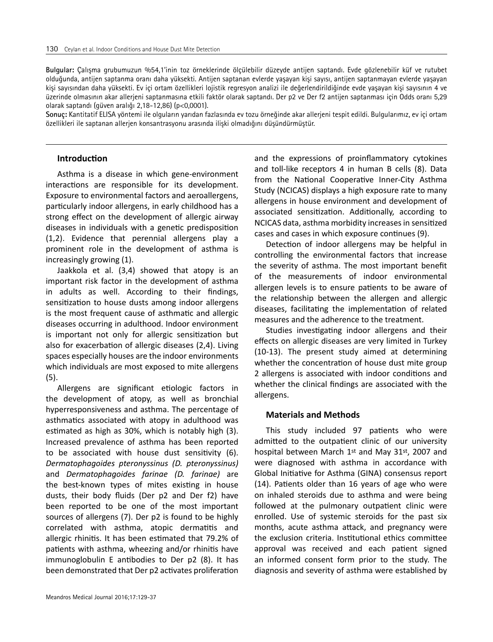**Bulgular:** Çalışma grubumuzun %54,1'inin toz örneklerinde ölçülebilir düzeyde antijen saptandı. Evde gözlenebilir küf ve rutubet olduğunda, antijen saptanma oranı daha yüksekti. Antijen saptanan evlerde yaşayan kişi sayısı, antijen saptanmayan evlerde yaşayan kişi sayısından daha yüksekti. Ev içi ortam özellikleri lojistik regresyon analizi ile değerlendirildiğinde evde yaşayan kişi sayısının 4 ve üzerinde olmasının akar allerjeni saptanmasına etkili faktör olarak saptandı. Der p2 ve Der f2 antijen saptanması için Odds oranı 5,29 olarak saptandı (güven aralığı 2,18-12,86) (p<0,0001).

**Sonuç:** Kantitatif ELISA yöntemi ile olguların yarıdan fazlasında ev tozu örneğinde akar allerjeni tespit edildi. Bulgularımız, ev içi ortam özellikleri ile saptanan allerjen konsantrasyonu arasında ilişki olmadığını düşündürmüştür.

## **Introduction**

Asthma is a disease in which gene-environment interactions are responsible for its development. Exposure to environmental factors and aeroallergens, particularly indoor allergens, in early childhood has a strong effect on the development of allergic airway diseases in individuals with a genetic predisposition (1,2). Evidence that perennial allergens play a prominent role in the development of asthma is increasingly growing (1).

Jaakkola et al. (3,4) showed that atopy is an important risk factor in the development of asthma in adults as well. According to their findings, sensitization to house dusts among indoor allergens is the most frequent cause of asthmatic and allergic diseases occurring in adulthood. Indoor environment is important not only for allergic sensitization but also for exacerbation of allergic diseases (2,4). Living spaces especially houses are the indoor environments which individuals are most exposed to mite allergens (5).

Allergens are significant etiologic factors in the development of atopy, as well as bronchial hyperresponsiveness and asthma. The percentage of asthmatics associated with atopy in adulthood was estimated as high as 30%, which is notably high (3). Increased prevalence of asthma has been reported to be associated with house dust sensitivity (6). *Dermatophagoides pteronyssinus (D. pteronyssinus)*  and *Dermatophagoides farinae (D. farinae)* are the best-known types of mites existing in house dusts, their body fluids (Der p2 and Der f2) have been reported to be one of the most important sources of allergens (7). Der p2 is found to be highly correlated with asthma, atopic dermatitis and allergic rhinitis. It has been estimated that 79.2% of patients with asthma, wheezing and/or rhinitis have immunoglobulin E antibodies to Der p2 (8). It has been demonstrated that Der p2 activates proliferation

and the expressions of proinflammatory cytokines and toll-like receptors 4 in human B cells (8). Data from the National Cooperative Inner-City Asthma Study (NCICAS) displays a high exposure rate to many allergens in house environment and development of associated sensitization. Additionally, according to NCICAS data, asthma morbidity increases in sensitized cases and cases in which exposure continues (9).

Detection of indoor allergens may be helpful in controlling the environmental factors that increase the severity of asthma. The most important benefit of the measurements of indoor environmental allergen levels is to ensure patients to be aware of the relationship between the allergen and allergic diseases, facilitating the implementation of related measures and the adherence to the treatment.

Studies investigating indoor allergens and their effects on allergic diseases are very limited in Turkey (10-13). The present study aimed at determining whether the concentration of house dust mite group 2 allergens is associated with indoor conditions and whether the clinical findings are associated with the allergens.

# **Materials and Methods**

This study included 97 patients who were admitted to the outpatient clinic of our university hospital between March 1st and May 31st, 2007 and were diagnosed with asthma in accordance with Global Initiative for Asthma (GINA) consensus report (14). Patients older than 16 years of age who were on inhaled steroids due to asthma and were being followed at the pulmonary outpatient clinic were enrolled. Use of systemic steroids for the past six months, acute asthma attack, and pregnancy were the exclusion criteria. Institutional ethics committee approval was received and each patient signed an informed consent form prior to the study. The diagnosis and severity of asthma were established by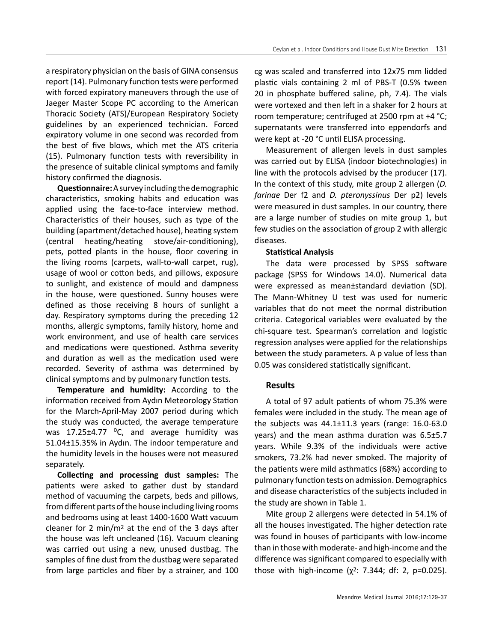a respiratory physician on the basis of GINA consensus report (14). Pulmonary function tests were performed with forced expiratory maneuvers through the use of Jaeger Master Scope PC according to the American Thoracic Society (ATS)/European Respiratory Society guidelines by an experienced technician. Forced expiratory volume in one second was recorded from the best of five blows, which met the ATS criteria (15). Pulmonary function tests with reversibility in the presence of suitable clinical symptoms and family history confirmed the diagnosis.

**Questionnaire:** A survey including the demographic characteristics, smoking habits and education was applied using the face-to-face interview method. Characteristics of their houses, such as type of the building (apartment/detached house), heating system (central heating/heating stove/air-conditioning), pets, potted plants in the house, floor covering in the living rooms (carpets, wall-to-wall carpet, rug), usage of wool or cotton beds, and pillows, exposure to sunlight, and existence of mould and dampness in the house, were questioned. Sunny houses were defined as those receiving 8 hours of sunlight a day. Respiratory symptoms during the preceding 12 months, allergic symptoms, family history, home and work environment, and use of health care services and medications were questioned. Asthma severity and duration as well as the medication used were recorded. Severity of asthma was determined by clinical symptoms and by pulmonary function tests.

**Temperature and humidity:** According to the information received from Aydın Meteorology Station for the March-April-May 2007 period during which the study was conducted, the average temperature was  $17.25 \pm 4.77$  °C, and average humidity was 51.04±15.35% in Aydın. The indoor temperature and the humidity levels in the houses were not measured separately.

**Collecting and processing dust samples:** The patients were asked to gather dust by standard method of vacuuming the carpets, beds and pillows, from different parts of the house including living rooms and bedrooms using at least 1400-1600 Watt vacuum cleaner for 2 min/m2 at the end of the 3 days after the house was left uncleaned (16). Vacuum cleaning was carried out using a new, unused dustbag. The samples of fine dust from the dustbag were separated from large particles and fiber by a strainer, and 100 cg was scaled and transferred into 12x75 mm lidded plastic vials containing 2 ml of PBS-T (0.5% tween 20 in phosphate buffered saline, ph, 7.4). The vials were vortexed and then left in a shaker for 2 hours at room temperature; centrifuged at 2500 rpm at +4 °C; supernatants were transferred into eppendorfs and were kept at -20 °C until ELISA processing.

Measurement of allergen levels in dust samples was carried out by ELISA (indoor biotechnologies) in line with the protocols advised by the producer (17). In the context of this study, mite group 2 allergen (*D. farinae* Der f2 and *D. pteronyssinus* Der p2) levels were measured in dust samples. In our country, there are a large number of studies on mite group 1, but few studies on the association of group 2 with allergic diseases.

#### **Statistical Analysis**

The data were processed by SPSS software package (SPSS for Windows 14.0). Numerical data were expressed as mean±standard deviation (SD). The Mann-Whitney U test was used for numeric variables that do not meet the normal distribution criteria. Categorical variables were evaluated by the chi-square test. Spearman's correlation and logistic regression analyses were applied for the relationships between the study parameters. A p value of less than 0.05 was considered statistically significant.

#### **Results**

A total of 97 adult patients of whom 75.3% were females were included in the study. The mean age of the subjects was  $44.1 \pm 11.3$  years (range:  $16.0 - 63.0$ years) and the mean asthma duration was  $6.5\pm5.7$ years. While 9.3% of the individuals were active smokers, 73.2% had never smoked. The majority of the patients were mild asthmatics (68%) according to pulmonary function tests on admission. Demographics and disease characteristics of the subjects included in the study are shown in Table 1.

Mite group 2 allergens were detected in 54.1% of all the houses investigated. The higher detection rate was found in houses of participants with low-income than in those with moderate- and high-income and the difference was significant compared to especially with those with high-income ( $χ²$ : 7.344; df: 2, p=0.025).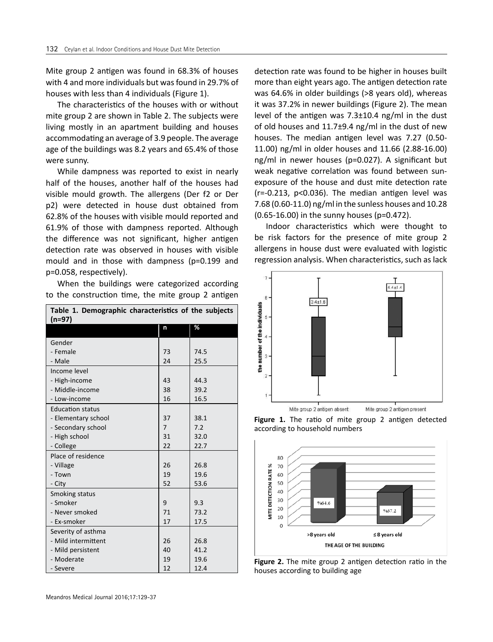Mite group 2 antigen was found in 68.3% of houses with 4 and more individuals but was found in 29.7% of houses with less than 4 individuals (Figure 1).

The characteristics of the houses with or without mite group 2 are shown in Table 2. The subjects were living mostly in an apartment building and houses accommodating an average of 3.9 people. The average age of the buildings was 8.2 years and 65.4% of those were sunny.

While dampness was reported to exist in nearly half of the houses, another half of the houses had visible mould growth. The allergens (Der f2 or Der p2) were detected in house dust obtained from 62.8% of the houses with visible mould reported and 61.9% of those with dampness reported. Although the difference was not significant, higher antigen detection rate was observed in houses with visible mould and in those with dampness (p=0.199 and p=0.058, respectively).

When the buildings were categorized according to the construction time, the mite group 2 antigen

| Table 1. Demographic characteristics of the subjects |                |      |  |  |  |
|------------------------------------------------------|----------------|------|--|--|--|
| $(n=97)$                                             |                |      |  |  |  |
|                                                      | n              | %    |  |  |  |
| Gender                                               |                |      |  |  |  |
| - Female                                             | 73             | 74.5 |  |  |  |
| - Male                                               | 24             | 25.5 |  |  |  |
| Income level                                         |                |      |  |  |  |
| - High-income                                        | 43             | 44.3 |  |  |  |
| - Middle-income                                      | 38             | 39.2 |  |  |  |
| - Low-income                                         | 16             | 16.5 |  |  |  |
| <b>Education status</b>                              |                |      |  |  |  |
| - Elementary school                                  | 37             | 38.1 |  |  |  |
| - Secondary school                                   | $\overline{7}$ | 7.2  |  |  |  |
| - High school                                        | 31             | 32.0 |  |  |  |
| - College                                            | 22             | 22.7 |  |  |  |
| Place of residence                                   |                |      |  |  |  |
| - Village                                            | 26             | 26.8 |  |  |  |
| - Town                                               | 19             | 19.6 |  |  |  |
| - City                                               | 52             | 53.6 |  |  |  |
| Smoking status                                       |                |      |  |  |  |
| - Smoker                                             | 9              | 9.3  |  |  |  |
| - Never smoked                                       | 71             | 73.2 |  |  |  |
| - Ex-smoker                                          | 17             | 17.5 |  |  |  |
| Severity of asthma                                   |                |      |  |  |  |
| - Mild intermittent                                  | 26             | 26.8 |  |  |  |
| - Mild persistent                                    | 40             | 41.2 |  |  |  |
| - Moderate                                           | 19             | 19.6 |  |  |  |
| - Severe                                             | 12             | 12.4 |  |  |  |

detection rate was found to be higher in houses built more than eight years ago. The antigen detection rate was 64.6% in older buildings (>8 years old), whereas it was 37.2% in newer buildings (Figure 2). The mean level of the antigen was 7.3±10.4 ng/ml in the dust of old houses and  $11.7\pm9.4$  ng/ml in the dust of new houses. The median antigen level was 7.27 (0.50- 11.00) ng/ml in older houses and 11.66 (2.88-16.00) ng/ml in newer houses (p=0.027). A significant but weak negative correlation was found between sunexposure of the house and dust mite detection rate (r=-0.213, p<0.036). The median antigen level was 7.68 (0.60-11.0) ng/ml in the sunless houses and 10.28 (0.65-16.00) in the sunny houses (p=0.472).

Indoor characteristics which were thought to be risk factors for the presence of mite group 2 allergens in house dust were evaluated with logistic regression analysis. When characteristics, such as lack



**Figure 1.** The ratio of mite group 2 antigen detected according to household numbers



**Figure 2.** The mite group 2 antigen detection ratio in the houses according to building age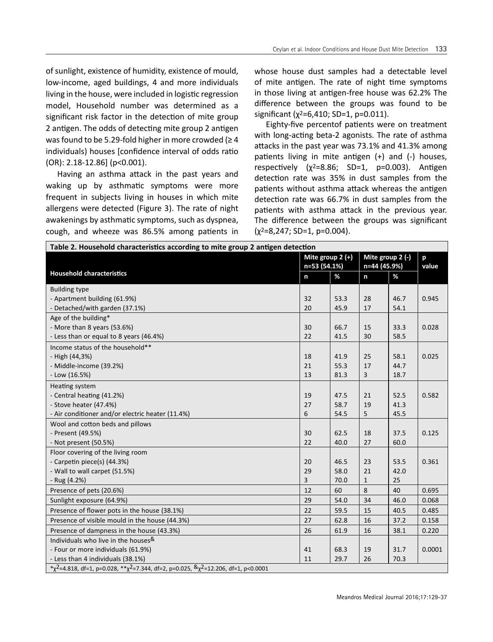of sunlight, existence of humidity, existence of mould, low-income, aged buildings, 4 and more individuals living in the house, were included in logistic regression model, Household number was determined as a significant risk factor in the detection of mite group 2 antigen. The odds of detecting mite group 2 antigen was found to be 5.29-fold higher in more crowded ( $\geq 4$ ) individuals) houses [confidence interval of odds ratio (OR): 2.18-12.86] (p<0.001).

Having an asthma attack in the past years and waking up by asthmatic symptoms were more frequent in subjects living in houses in which mite allergens were detected (Figure 3). The rate of night awakenings by asthmatic symptoms, such as dyspnea, cough, and wheeze was 86.5% among patients in

whose house dust samples had a detectable level of mite antigen. The rate of night time symptoms in those living at antigen-free house was 62.2% The difference between the groups was found to be significant ( $\chi^2$ =6,410; SD=1, p=0.011).

Eighty-five percentof patients were on treatment with long-acting beta-2 agonists. The rate of asthma attacks in the past year was 73.1% and 41.3% among patients living in mite antigen (+) and (-) houses, respectively  $(x^2=8.86; SD=1, p=0.003)$ . Antigen detection rate was 35% in dust samples from the patients without asthma attack whereas the antigen detection rate was 66.7% in dust samples from the patients with asthma attack in the previous year. The difference between the groups was significant  $(x^2=8,247; SD=1, p=0.004)$ .

| Table 2. Household characteristics according to mite group 2 antigen detection                           |              |                                    |              |                                  |        |  |
|----------------------------------------------------------------------------------------------------------|--------------|------------------------------------|--------------|----------------------------------|--------|--|
|                                                                                                          |              | Mite group $2 (+)$<br>n=53 (54.1%) |              | Mite group 2 (-)<br>n=44 (45.9%) |        |  |
| <b>Household characteristics</b>                                                                         | $\mathsf{n}$ | %                                  | n            | %                                |        |  |
| <b>Building type</b>                                                                                     |              |                                    |              |                                  |        |  |
| - Apartment building (61.9%)                                                                             | 32           | 53.3                               | 28           | 46.7                             | 0.945  |  |
| - Detached/with garden (37.1%)                                                                           | 20           | 45.9                               | 17           | 54.1                             |        |  |
| Age of the building*                                                                                     |              |                                    |              |                                  |        |  |
| - More than 8 years (53.6%)                                                                              | 30           | 66.7                               | 15           | 33.3                             | 0.028  |  |
| - Less than or equal to 8 years (46.4%)                                                                  | 22           | 41.5                               | 30           | 58.5                             |        |  |
| Income status of the household**                                                                         |              |                                    |              |                                  |        |  |
| - High (44,3%)                                                                                           | 18           | 41.9                               | 25           | 58.1                             | 0.025  |  |
| - Middle-income (39.2%)                                                                                  | 21           | 55.3                               | 17           | 44.7                             |        |  |
| - Low (16.5%)                                                                                            | 13           | 81.3                               | 3            | 18.7                             |        |  |
| Heating system                                                                                           |              |                                    |              |                                  |        |  |
| - Central heating (41.2%)                                                                                | 19           | 47.5                               | 21           | 52.5                             | 0.582  |  |
| - Stove heater (47.4%)                                                                                   | 27           | 58.7                               | 19           | 41.3                             |        |  |
| - Air conditioner and/or electric heater (11.4%)                                                         | 6            | 54.5                               | 5            | 45.5                             |        |  |
| Wool and cotton beds and pillows                                                                         |              |                                    |              |                                  |        |  |
| - Present (49.5%)                                                                                        | 30           | 62.5                               | 18           | 37.5                             | 0.125  |  |
| - Not present (50.5%)                                                                                    | 22           | 40.0                               | 27           | 60.0                             |        |  |
| Floor covering of the living room                                                                        |              |                                    |              |                                  |        |  |
| - Carpetin piece(s) (44.3%)                                                                              | 20           | 46.5                               | 23           | 53.5                             | 0.361  |  |
| - Wall to wall carpet (51.5%)                                                                            | 29           | 58.0                               | 21           | 42.0                             |        |  |
| - Rug (4.2%)                                                                                             | 3            | 70.0                               | $\mathbf{1}$ | 25                               |        |  |
| Presence of pets (20.6%)                                                                                 | 12           | 60                                 | 8            | 40                               | 0.695  |  |
| Sunlight exposure (64.9%)                                                                                | 29           | 54.0                               | 34           | 46.0                             | 0.068  |  |
| Presence of flower pots in the house (38.1%)                                                             | 22           | 59.5                               | 15           | 40.5                             | 0.485  |  |
| Presence of visible mould in the house (44.3%)                                                           | 27           | 62.8                               | 16           | 37.2                             | 0.158  |  |
| Presence of dampness in the house (43.3%)                                                                | 26           | 61.9                               | 16           | 38.1                             | 0.220  |  |
| Individuals who live in the houses&                                                                      |              |                                    |              |                                  |        |  |
| - Four or more individuals (61.9%)                                                                       | 41           | 68.3                               | 19           | 31.7                             | 0.0001 |  |
| - Less than 4 individuals (38.1%)                                                                        | 11           | 29.7                               | 26           | 70.3                             |        |  |
| * $\chi^2$ =4.818, df=1, p=0.028, ** $\chi^2$ =7.344, df=2, p=0.025, $\& \chi^2$ =12.206, df=1, p<0.0001 |              |                                    |              |                                  |        |  |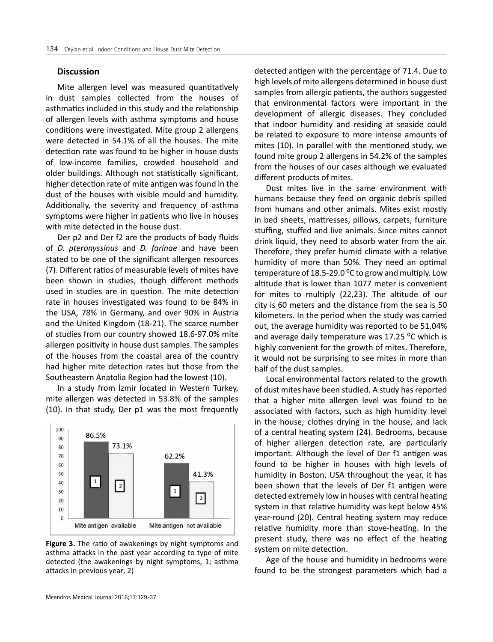#### **Discussion**

Mite allergen level was measured quantitatively in dust samples collected from the houses of asthmatics included in this study and the relationship of allergen levels with asthma symptoms and house conditions were investigated. Mite group 2 allergens were detected in 54.1% of all the houses. The mite detection rate was found to be higher in house dusts of low-income families, crowded household and older buildings. Although not statistically significant, higher detection rate of mite antigen was found in the dust of the houses with visible mould and humidity. Additionally, the severity and frequency of asthma symptoms were higher in patients who live in houses with mite detected in the house dust.

Der p2 and Der f2 are the products of body fluids of *D. pteronyssinus* and *D. farinae* and have been stated to be one of the significant allergen resources (7). Different ratios of measurable levels of mites have been shown in studies, though different methods used in studies are in question. The mite detection rate in houses investigated was found to be 84% in the USA, 78% in Germany, and over 90% in Austria and the United Kingdom (18-21). The scarce number of studies from our country showed 18.6-97.0% mite allergen positivity in house dust samples. The samples of the houses from the coastal area of the country had higher mite detection rates but those from the Southeastern Anatolia Region had the lowest (10).

In a study from İzmir located in Western Turkey, mite allergen was detected in 53.8% of the samples (10). In that study, Der p1 was the most frequently



**Figure 3.** The ratio of awakenings by night symptoms and asthma attacks in the past year according to type of mite detected (the awakenings by night symptoms, 1; asthma attacks in previous year, 2)

detected antigen with the percentage of 71.4. Due to high levels of mite allergens determined in house dust samples from allergic patients, the authors suggested that environmental factors were important in the development of allergic diseases. They concluded that indoor humidity and residing at seaside could be related to exposure to more intense amounts of mites (10). In parallel with the mentioned study, we found mite group 2 allergens in 54.2% of the samples from the houses of our cases although we evaluated different products of mites.

Dust mites live in the same environment with humans because they feed on organic debris spilled from humans and other animals. Mites exist mostly in bed sheets, mattresses, pillows, carpets, furniture stuffing, stuffed and live animals. Since mites cannot drink liquid, they need to absorb water from the air. Therefore, they prefer humid climate with a relative humidity of more than 50%. They need an optimal temperature of 18.5-29.0  $\degree$ C to grow and multiply. Low altitude that is lower than 1077 meter is convenient for mites to multiply (22,23). The altitude of our city is 60 meters and the distance from the sea is 50 kilometers. In the period when the study was carried out, the average humidity was reported to be 51.04% and average daily temperature was 17.25 °C which is highly convenient for the growth of mites. Therefore, it would not be surprising to see mites in more than half of the dust samples.

Local environmental factors related to the growth of dust mites have been studied. A study has reported that a higher mite allergen level was found to be associated with factors, such as high humidity level in the house, clothes drying in the house, and lack of a central heating system (24). Bedrooms, because of higher allergen detection rate, are particularly important. Although the level of Der f1 antigen was found to be higher in houses with high levels of humidity in Boston, USA throughout the year, it has been shown that the levels of Der f1 antigen were detected extremely low in houses with central heating system in that relative humidity was kept below 45% year-round (20). Central heating system may reduce relative humidity more than stove-heating. In the present study, there was no effect of the heating system on mite detection.

Age of the house and humidity in bedrooms were found to be the strongest parameters which had a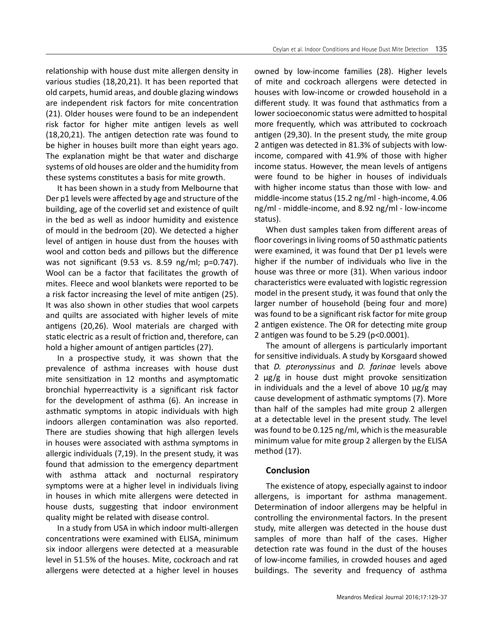relationship with house dust mite allergen density in various studies (18,20,21). It has been reported that old carpets, humid areas, and double glazing windows are independent risk factors for mite concentration (21). Older houses were found to be an independent risk factor for higher mite antigen levels as well (18,20,21). The antigen detection rate was found to be higher in houses built more than eight years ago. The explanation might be that water and discharge systems of old houses are older and the humidity from these systems constitutes a basis for mite growth.

It has been shown in a study from Melbourne that Der p1 levels were affected by age and structure of the building, age of the coverlid set and existence of quilt in the bed as well as indoor humidity and existence of mould in the bedroom (20). We detected a higher level of antigen in house dust from the houses with wool and cotton beds and pillows but the difference was not significant (9.53 vs. 8.59 ng/ml; p=0.747). Wool can be a factor that facilitates the growth of mites. Fleece and wool blankets were reported to be a risk factor increasing the level of mite antigen (25). It was also shown in other studies that wool carpets and quilts are associated with higher levels of mite antigens (20,26). Wool materials are charged with static electric as a result of friction and, therefore, can hold a higher amount of antigen particles (27).

In a prospective study, it was shown that the prevalence of asthma increases with house dust mite sensitization in 12 months and asymptomatic bronchial hyperreactivity is a significant risk factor for the development of asthma (6). An increase in asthmatic symptoms in atopic individuals with high indoors allergen contamination was also reported. There are studies showing that high allergen levels in houses were associated with asthma symptoms in allergic individuals (7,19). In the present study, it was found that admission to the emergency department with asthma attack and nocturnal respiratory symptoms were at a higher level in individuals living in houses in which mite allergens were detected in house dusts, suggesting that indoor environment quality might be related with disease control.

In a study from USA in which indoor multi-allergen concentrations were examined with ELISA, minimum six indoor allergens were detected at a measurable level in 51.5% of the houses. Mite, cockroach and rat allergens were detected at a higher level in houses

owned by low-income families (28). Higher levels of mite and cockroach allergens were detected in houses with low-income or crowded household in a different study. It was found that asthmatics from a lower socioeconomic status were admitted to hospital more frequently, which was attributed to cockroach antigen (29,30). In the present study, the mite group 2 antigen was detected in 81.3% of subjects with lowincome, compared with 41.9% of those with higher income status. However, the mean levels of antigens were found to be higher in houses of individuals with higher income status than those with low- and middle-income status (15.2 ng/ml - high-income, 4.06 ng/ml - middle-income, and 8.92 ng/ml - low-income status).

When dust samples taken from different areas of floor coverings in living rooms of 50 asthmatic patients were examined, it was found that Der p1 levels were higher if the number of individuals who live in the house was three or more (31). When various indoor characteristics were evaluated with logistic regression model in the present study, it was found that only the larger number of household (being four and more) was found to be a significant risk factor for mite group 2 antigen existence. The OR for detecting mite group 2 antigen was found to be 5.29 (p<0.0001).

The amount of allergens is particularly important for sensitive individuals. A study by Korsgaard showed that *D. pteronyssinus* and *D. farinae* levels above 2 µg/g in house dust might provoke sensitization in individuals and the a level of above 10  $\mu$ g/g may cause development of asthmatic symptoms (7). More than half of the samples had mite group 2 allergen at a detectable level in the present study. The level was found to be 0.125 ng/ml, which is the measurable minimum value for mite group 2 allergen by the ELISA method (17).

#### **Conclusion**

The existence of atopy, especially against to indoor allergens, is important for asthma management. Determination of indoor allergens may be helpful in controlling the environmental factors. In the present study, mite allergen was detected in the house dust samples of more than half of the cases. Higher detection rate was found in the dust of the houses of low-income families, in crowded houses and aged buildings. The severity and frequency of asthma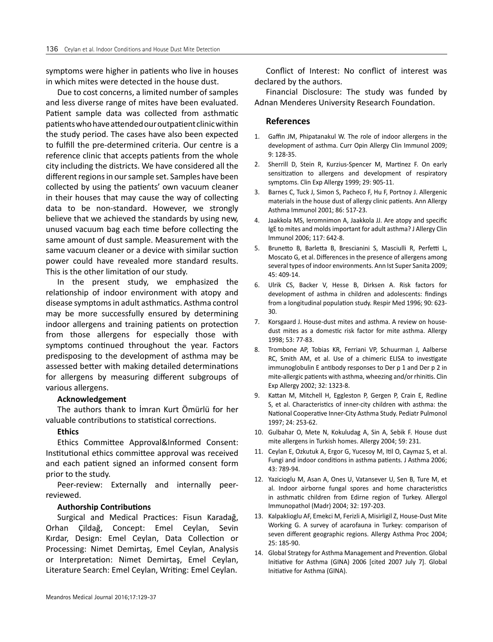symptoms were higher in patients who live in houses in which mites were detected in the house dust.

Due to cost concerns, a limited number of samples and less diverse range of mites have been evaluated. Patient sample data was collected from asthmatic patients who have attended our outpatient clinic within the study period. The cases have also been expected to fulfill the pre-determined criteria. Our centre is a reference clinic that accepts patients from the whole city including the districts. We have considered all the different regions in our sample set. Samples have been collected by using the patients' own vacuum cleaner in their houses that may cause the way of collecting data to be non-standard. However, we strongly believe that we achieved the standards by using new, unused vacuum bag each time before collecting the same amount of dust sample. Measurement with the same vacuum cleaner or a device with similar suction power could have revealed more standard results. This is the other limitation of our study.

In the present study, we emphasized the relationship of indoor environment with atopy and disease symptoms in adult asthmatics. Asthma control may be more successfully ensured by determining indoor allergens and training patients on protection from those allergens for especially those with symptoms continued throughout the year. Factors predisposing to the development of asthma may be assessed better with making detailed determinations for allergens by measuring different subgroups of various allergens.

#### **Acknowledgement**

The authors thank to İmran Kurt Ömürlü for her valuable contributions to statistical corrections.

# **Ethics**

Ethics Committee Approval&Informed Consent: Institutional ethics committee approval was received and each patient signed an informed consent form prior to the study.

Peer-review: Externally and internally peerreviewed.

#### **Authorship Contributions**

Surgical and Medical Practices: Fisun Karadağ, Orhan Çildağ, Concept: Emel Ceylan, Sevin Kırdar, Design: Emel Ceylan, Data Collection or Processing: Nimet Demirtaş, Emel Ceylan, Analysis or Interpretation: Nimet Demirtaş, Emel Ceylan, Literature Search: Emel Ceylan, Writing: Emel Ceylan.

Conflict of Interest: No conflict of interest was declared by the authors.

Financial Disclosure: The study was funded by Adnan Menderes University Research Foundation.

#### **References**

- 1. Gaffin JM, Phipatanakul W. The role of indoor allergens in the development of asthma. Curr Opin Allergy Clin Immunol 2009; 9: 128-35.
- 2. Sherrill D, Stein R, Kurzius-Spencer M, Martinez F. On early sensitization to allergens and development of respiratory symptoms. Clin Exp Allergy 1999; 29: 905-11.
- 3. Barnes C, Tuck J, Simon S, Pacheco F, Hu F, Portnoy J. Allergenic materials in the house dust of allergy clinic patients. Ann Allergy Asthma Immunol 2001; 86: 517-23.
- 4. Jaakkola MS, Ieromnimon A, Jaakkola JJ. Are atopy and specific IgE to mites and molds important for adult asthma? J Allergy Clin Immunol 2006; 117: 642-8.
- 5. Brunetto B, Barletta B, Brescianini S, Masciulli R, Perfetti L, Moscato G, et al. Differences in the presence of allergens among several types of indoor environments. Ann Ist Super Sanita 2009; 45: 409-14.
- 6. Ulrik CS, Backer V, Hesse B, Dirksen A. Risk factors for development of asthma in children and adolescents: findings from a longitudinal population study. Respir Med 1996; 90: 623- 30.
- 7. Korsgaard J. House-dust mites and asthma. A review on housedust mites as a domestic risk factor for mite asthma. Allergy 1998; 53: 77-83.
- 8. Trombone AP, Tobias KR, Ferriani VP, Schuurman J, Aalberse RC, Smith AM, et al. Use of a chimeric ELISA to investigate immunoglobulin E antibody responses to Der p 1 and Der p 2 in mite-allergic patients with asthma, wheezing and/or rhinitis. Clin Exp Allergy 2002; 32: 1323-8.
- 9. Kattan M, Mitchell H, Eggleston P, Gergen P, Crain E, Redline S, et al. Characteristics of inner-city children with asthma: the National Cooperative Inner-City Asthma Study. Pediatr Pulmonol 1997; 24: 253-62.
- 10. Gulbahar O, Mete N, Kokuludag A, Sin A, Sebik F. House dust mite allergens in Turkish homes. Allergy 2004; 59: 231.
- 11. Ceylan E, Ozkutuk A, Ergor G, Yucesoy M, Itil O, Caymaz S, et al. Fungi and indoor conditions in asthma patients. J Asthma 2006; 43: 789-94.
- 12. Yazicioglu M, Asan A, Ones U, Vatansever U, Sen B, Ture M, et al. Indoor airborne fungal spores and home characteristics in asthmatic children from Edirne region of Turkey. Allergol Immunopathol (Madr) 2004; 32: 197-203.
- 13. Kalpaklioglu AF, Emekci M, Ferizli A, Misirligil Z, House-Dust Mite Working G. A survey of acarofauna in Turkey: comparison of seven different geographic regions. Allergy Asthma Proc 2004; 25: 185-90.
- 14. Global Strategy for Asthma Management and Prevention. Global Initiative for Asthma (GINA) 2006 [cited 2007 July 7]. Global Initiative for Asthma (GINA).